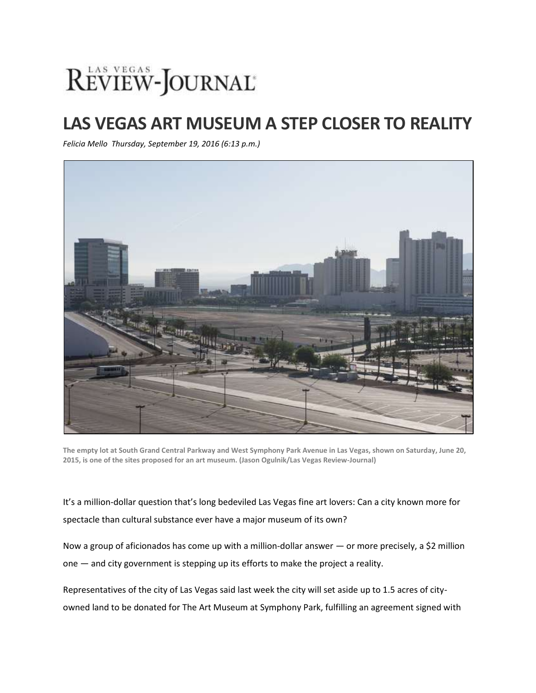## REVIEW-JOURNAL

## **LAS VEGAS ART MUSEUM A STEP CLOSER TO REALITY**

*Felicia Mello Thursday, September 19, 2016 (6:13 p.m.)*



**The empty lot at South Grand Central Parkway and West Symphony Park Avenue in Las Vegas, shown on Saturday, June 20, 2015, is one of the sites proposed for an art museum. (Jason Ogulnik/Las Vegas Review-Journal)**

It's a million-dollar question that's long bedeviled Las Vegas fine art lovers: Can a city known more for spectacle than cultural substance ever have a major museum of its own?

Now a group of aficionados has come up with a million-dollar answer — or more precisely, a \$2 million one — and city government is stepping up its efforts to make the project a reality.

Representatives of the city of Las Vegas said last week the city will set aside up to 1.5 acres of cityowned land to be donated for The Art Museum at Symphony Park, fulfilling an agreement signed with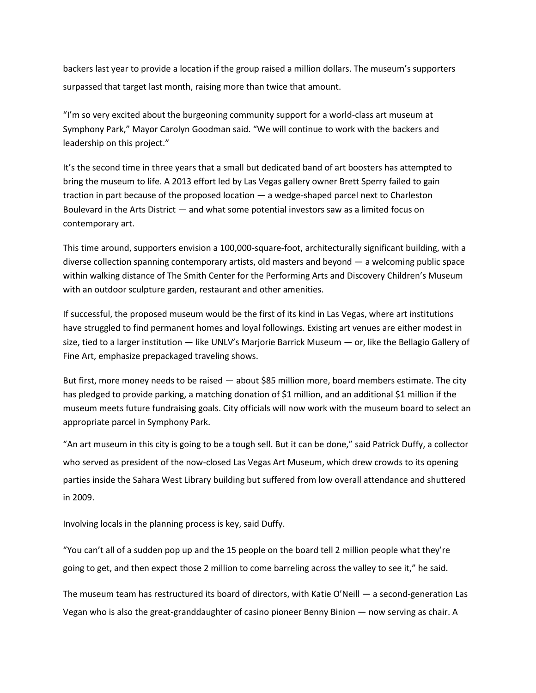backers last year to provide a location if the group raised a million dollars. The museum's supporters surpassed that target last month, raising more than twice that amount.

"I'm so very excited about the burgeoning community support for a world-class art museum at Symphony Park," Mayor Carolyn Goodman said. "We will continue to work with the backers and leadership on this project."

It's the second time in three years that a small but dedicated band of art boosters has attempted to bring the museum to life. A 2013 effort led by Las Vegas gallery owner Brett Sperry failed to gain traction in part because of the proposed location — a wedge-shaped parcel next to Charleston Boulevard in the Arts District — and what some potential investors saw as a limited focus on contemporary art.

This time around, supporters envision a 100,000-square-foot, architecturally significant building, with a diverse collection spanning contemporary artists, old masters and beyond — a welcoming public space within walking distance of The Smith Center for the Performing Arts and Discovery Children's Museum with an outdoor sculpture garden, restaurant and other amenities.

If successful, the proposed museum would be the first of its kind in Las Vegas, where art institutions have struggled to find permanent homes and loyal followings. Existing art venues are either modest in size, tied to a larger institution — like UNLV's Marjorie Barrick Museum — or, like the Bellagio Gallery of Fine Art, emphasize prepackaged traveling shows.

But first, more money needs to be raised — about \$85 million more, board members estimate. The city has pledged to provide parking, a matching donation of \$1 million, and an additional \$1 million if the museum meets future fundraising goals. City officials will now work with the museum board to select an appropriate parcel in Symphony Park.

"An art museum in this city is going to be a tough sell. But it can be done," said Patrick Duffy, a collector who served as president of the now-closed Las Vegas Art Museum, which drew crowds to its opening parties inside the Sahara West Library building but suffered from low overall attendance and shuttered in 2009.

Involving locals in the planning process is key, said Duffy.

"You can't all of a sudden pop up and the 15 people on the board tell 2 million people what they're going to get, and then expect those 2 million to come barreling across the valley to see it," he said.

The museum team has restructured its board of directors, with Katie O'Neill — a second-generation Las Vegan who is also the great-granddaughter of casino pioneer Benny Binion — now serving as chair. A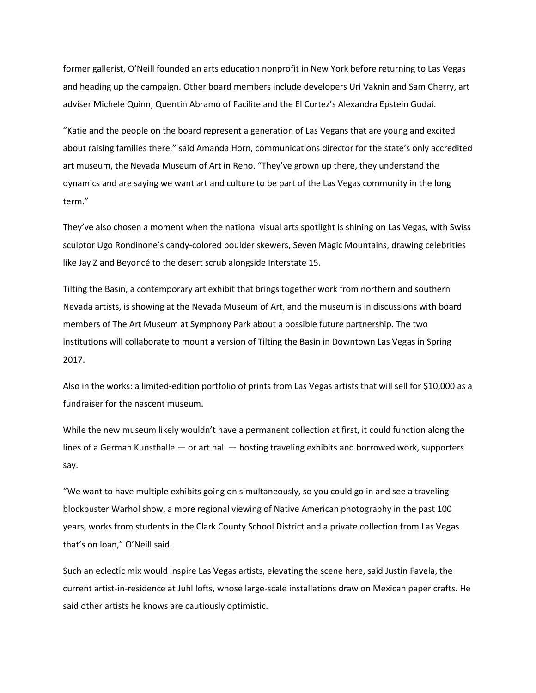former gallerist, O'Neill founded an arts education nonprofit in New York before returning to Las Vegas and heading up the campaign. Other board members include developers Uri Vaknin and Sam Cherry, art adviser Michele Quinn, Quentin Abramo of Facilite and the El Cortez's Alexandra Epstein Gudai.

"Katie and the people on the board represent a generation of Las Vegans that are young and excited about raising families there," said Amanda Horn, communications director for the state's only accredited art museum, the Nevada Museum of Art in Reno. "They've grown up there, they understand the dynamics and are saying we want art and culture to be part of the Las Vegas community in the long term."

They've also chosen a moment when the national visual arts spotlight is shining on Las Vegas, with Swiss sculptor Ugo Rondinone's [candy-colored](http://www.reviewjournal.com/neon/arts-culture/seven-magic-mountains-adds-vivid-color-the-desert-photos) boulder skewers, Seven Magic Mountains, drawing celebrities like Jay Z and Beyoncé to the desert scrub alongside Interstate 15.

Tilting the Basin, a contemporary art exhibit that brings together work from northern and southern Nevada artists, is showing at the Nevada Museum of Art, and the museum is in discussions with board members of The Art Museum at Symphony Park about a possible future partnership. The two institutions will collaborate to mount a version of Tilting the Basin in Downtown Las Vegas in Spring 2017.

Also in the works: a limited-edition portfolio of prints from Las Vegas artists that will sell for \$10,000 as a fundraiser for the nascent museum.

While the new museum likely wouldn't have a permanent collection at first, it could function along the lines of a German Kunsthalle — or art hall — hosting traveling exhibits and borrowed work, supporters say.

"We want to have multiple exhibits going on simultaneously, so you could go in and see a traveling blockbuster Warhol show, a more regional viewing of Native American photography in the past 100 years, works from students in the Clark County School District and a private collection from Las Vegas that's on loan," O'Neill said.

Such an eclectic mix would inspire Las Vegas artists, elevating the scene here, said Justin Favela, the current artist-in-residence at Juhl lofts, whose large-scale installations draw on Mexican paper crafts. He said other artists he knows are cautiously optimistic.